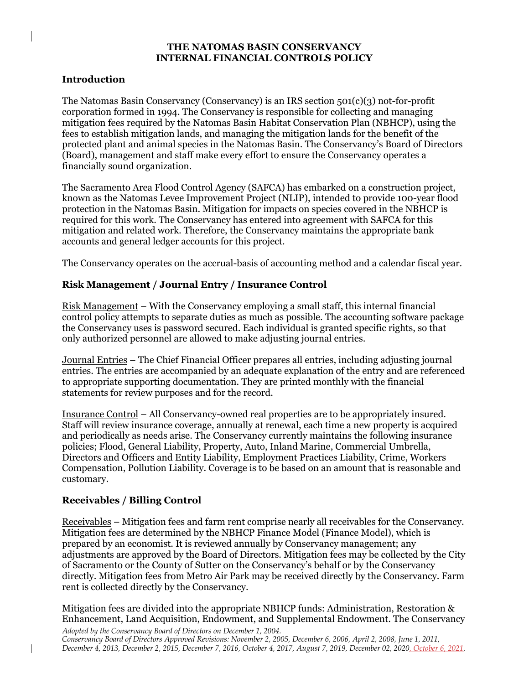### **THE NATOMAS BASIN CONSERVANCY INTERNAL FINANCIAL CONTROLS POLICY**

### **Introduction**

 The Natomas Basin Conservancy (Conservancy) is an IRS section 501(c)(3) not-for-profit corporation formed in 1994. The Conservancy is responsible for collecting and managing mitigation fees required by the Natomas Basin Habitat Conservation Plan (NBHCP), using the protected plant and animal species in the Natomas Basin. The Conservancy's Board of Directors fees to establish mitigation lands, and managing the mitigation lands for the benefit of the (Board), management and staff make every effort to ensure the Conservancy operates a financially sound organization.

 The Sacramento Area Flood Control Agency (SAFCA) has embarked on a construction project, known as the Natomas Levee Improvement Project (NLIP), intended to provide 100-year flood required for this work. The Conservancy has entered into agreement with SAFCA for this mitigation and related work. Therefore, the Conservancy maintains the appropriate bank accounts and general ledger accounts for this project. protection in the Natomas Basin. Mitigation for impacts on species covered in the NBHCP is

The Conservancy operates on the accrual-basis of accounting method and a calendar fiscal year.

## **Risk Management / Journal Entry / Insurance Control**

Risk Management – With the Conservancy employing a small staff, this internal financial only authorized personnel are allowed to make adjusting journal entries. control policy attempts to separate duties as much as possible. The accounting software package the Conservancy uses is password secured. Each individual is granted specific rights, so that

 Journal Entries – The Chief Financial Officer prepares all entries, including adjusting journal entries. The entries are accompanied by an adequate explanation of the entry and are referenced to appropriate supporting documentation. They are printed monthly with the financial statements for review purposes and for the record.

 Insurance Control – All Conservancy-owned real properties are to be appropriately insured. and periodically as needs arise. The Conservancy currently maintains the following insurance policies; Flood, General Liability, Property, Auto, Inland Marine, Commercial Umbrella, Directors and Officers and Entity Liability, Employment Practices Liability, Crime, Workers Compensation, Pollution Liability. Coverage is to be based on an amount that is reasonable and Staff will review insurance coverage, annually at renewal, each time a new property is acquired customary.

### **Receivables / Billing Control**

Receivables – Mitigation fees and farm rent comprise nearly all receivables for the Conservancy. Mitigation fees are determined by the NBHCP Finance Model (Finance Model), which is adjustments are approved by the Board of Directors. Mitigation fees may be collected by the City of Sacramento or the County of Sutter on the Conservancy's behalf or by the Conservancy directly. Mitigation fees from Metro Air Park may be received directly by the Conservancy. Farm prepared by an economist. It is reviewed annually by Conservancy management; any rent is collected directly by the Conservancy.

 Mitigation fees are divided into the appropriate NBHCP funds: Administration, Restoration & Enhancement, Land Acquisition, Endowment, and Supplemental Endowment. The Conservancy

 *Adopted by the Conservancy Board of Directors on December 1, 2004. Conservancy Board of Directors Approved Revisions: November 2, 2005, December 6, 2006, April 2, 2008, June 1, 2011, December 4, 2013, December 2, 2015, December 7, 2016, October 4, 2017, August 7, 2019, December 02, 2020, October 6, 2021.*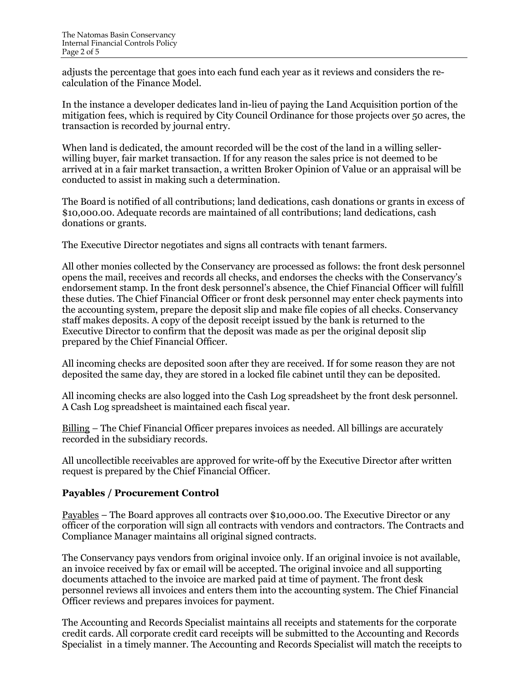adjusts the percentage that goes into each fund each year as it reviews and considers the re-calculation of the Finance Model.

 mitigation fees, which is required by City Council Ordinance for those projects over 50 acres, the In the instance a developer dedicates land in-lieu of paying the Land Acquisition portion of the transaction is recorded by journal entry.

 When land is dedicated, the amount recorded will be the cost of the land in a willing seller- willing buyer, fair market transaction. If for any reason the sales price is not deemed to be arrived at in a fair market transaction, a written Broker Opinion of Value or an appraisal will be conducted to assist in making such a determination.

 The Board is notified of all contributions; land dedications, cash donations or grants in excess of \$[10,000.00.](https://10,000.00) Adequate records are maintained of all contributions; land dedications, cash donations or grants.

The Executive Director negotiates and signs all contracts with tenant farmers.

 All other monies collected by the Conservancy are processed as follows: the front desk personnel endorsement stamp. In the front desk personnel's absence, the Chief Financial Officer will fulfill these duties. The Chief Financial Officer or front desk personnel may enter check payments into staff makes deposits. A copy of the deposit receipt issued by the bank is returned to the Executive Director to confirm that the deposit was made as per the original deposit slip prepared by the Chief Financial Officer. opens the mail, receives and records all checks, and endorses the checks with the Conservancy's the accounting system, prepare the deposit slip and make file copies of all checks. Conservancy

 All incoming checks are deposited soon after they are received. If for some reason they are not deposited the same day, they are stored in a locked file cabinet until they can be deposited.

 All incoming checks are also logged into the Cash Log spreadsheet by the front desk personnel. A Cash Log spreadsheet is maintained each fiscal year.

Billing – The Chief Financial Officer prepares invoices as needed. All billings are accurately recorded in the subsidiary records.

 All uncollectible receivables are approved for write-off by the Executive Director after written request is prepared by the Chief Financial Officer.

### **Payables / Procurement Control**

Payables – The Board approves all contracts over [\\$10,000.00.](https://10,000.00) The Executive Director or any officer of the corporation will sign all contracts with vendors and contractors. The Contracts and Compliance Manager maintains all original signed contracts.

 The Conservancy pays vendors from original invoice only. If an original invoice is not available, an invoice received by fax or email will be accepted. The original invoice and all supporting documents attached to the invoice are marked paid at time of payment. The front desk personnel reviews all invoices and enters them into the accounting system. The Chief Financial Officer reviews and prepares invoices for payment.

 The Accounting and Records Specialist maintains all receipts and statements for the corporate credit cards. All corporate credit card receipts will be submitted to the Accounting and Records Specialist in a timely manner. The Accounting and Records Specialist will match the receipts to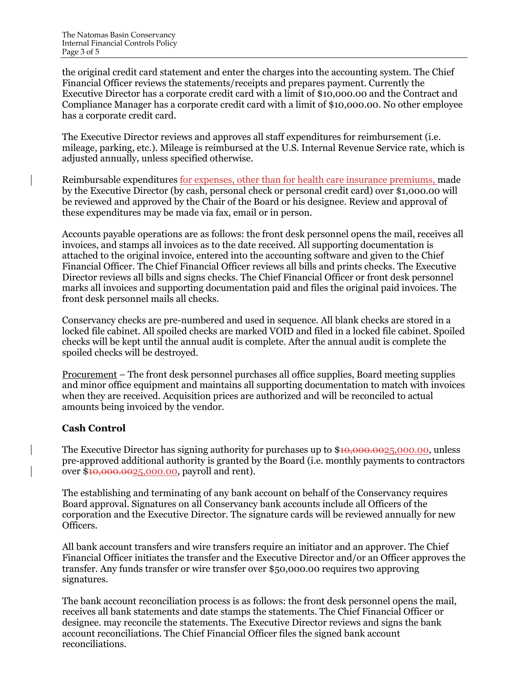Executive Director has a corporate credit card with a limit of \$[10,000.00](https://10,000.00) and the Contract and Compliance Manager has a corporate credit card with a limit of \$[10,000.00](https://10,000.00). No other employee has a corporate credit card. the original credit card statement and enter the charges into the accounting system. The Chief Financial Officer reviews the statements/receipts and prepares payment. Currently the

 The Executive Director reviews and approves all staff expenditures for reimbursement (i.e. mileage, parking, etc.). Mileage is reimbursed at the U.S. Internal Revenue Service rate, which is adjusted annually, unless specified otherwise.

Reimbursable expenditures for expenses, other than for health care insurance premiums, made be reviewed and approved by the Chair of the Board or his designee. Review and approval of by the Executive Director (by cash, personal check or personal credit card) over [\\$1,000.00](https://1,000.00) will these expenditures may be made via fax, email or in person.

 Accounts payable operations are as follows: the front desk personnel opens the mail, receives all attached to the original invoice, entered into the accounting software and given to the Chief Financial Officer. The Chief Financial Officer reviews all bills and prints checks. The Executive Director reviews all bills and signs checks. The Chief Financial Officer or front desk personnel marks all invoices and supporting documentation paid and files the original paid invoices. The front desk personnel mails all checks. invoices, and stamps all invoices as to the date received. All supporting documentation is

 Conservancy checks are pre-numbered and used in sequence. All blank checks are stored in a checks will be kept until the annual audit is complete. After the annual audit is complete the locked file cabinet. All spoiled checks are marked VOID and filed in a locked file cabinet. Spoiled spoiled checks will be destroyed.

 Procurement – The front desk personnel purchases all office supplies, Board meeting supplies and minor office equipment and maintains all supporting documentation to match with invoices when they are received. Acquisition prices are authorized and will be reconciled to actual amounts being invoiced by the vendor.

# **Cash Control**

 pre-approved additional authority is granted by the Board (i.e. monthly payments to contractors The Executive Director has signing authority for purchases up to \$[10,000.0025,000.00](https://10,000.0025,000.00), unless over [\\$10,000.0025,000.00](https://10,000.0025,000.00), payroll and rent).

 The establishing and terminating of any bank account on behalf of the Conservancy requires Board approval. Signatures on all Conservancy bank accounts include all Officers of the corporation and the Executive Director. The signature cards will be reviewed annually for new Officers.

 All bank account transfers and wire transfers require an initiator and an approver. The Chief Financial Officer initiates the transfer and the Executive Director and/or an Officer approves the transfer. Any funds transfer or wire transfer over \$[50,000.00](https://50,000.00) requires two approving signatures.

 The bank account reconciliation process is as follows: the front desk personnel opens the mail, receives all bank statements and date stamps the statements. The Chief Financial Officer or designee. may reconcile the statements. The Executive Director reviews and signs the bank account reconciliations. The Chief Financial Officer files the signed bank account reconciliations.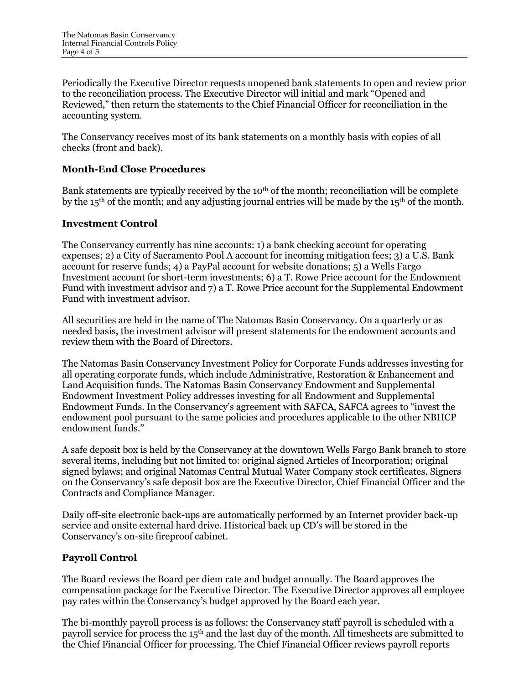Periodically the Executive Director requests unopened bank statements to open and review prior Reviewed," then return the statements to the Chief Financial Officer for reconciliation in the to the reconciliation process. The Executive Director will initial and mark "Opened and accounting system.

 The Conservancy receives most of its bank statements on a monthly basis with copies of all checks (front and back).

## **Month-End Close Procedures**

Bank statements are typically received by the 10<sup>th</sup> of the month; reconciliation will be complete by the 15<sup>th</sup> of the month; and any adjusting journal entries will be made by the 15<sup>th</sup> of the month.

### **Investment Control**

 The Conservancy currently has nine accounts: 1) a bank checking account for operating expenses; 2) a City of Sacramento Pool A account for incoming mitigation fees; 3) a U.S. Bank account for reserve funds; 4) a PayPal account for website donations; 5) a Wells Fargo Investment account for short-term investments; 6) a T. Rowe Price account for the Endowment Fund with investment advisor and 7) a T. Rowe Price account for the Supplemental Endowment Fund with investment advisor.

Fund with investment advisor.<br>All securities are held in the name of The Natomas Basin Conservancy. On a quarterly or as needed basis, the investment advisor will present statements for the endowment accounts and review them with the Board of Directors.

 The Natomas Basin Conservancy Investment Policy for Corporate Funds addresses investing for all operating corporate funds, which include Administrative, Restoration & Enhancement and Land Acquisition funds. The Natomas Basin Conservancy Endowment and Supplemental Endowment Investment Policy addresses investing for all Endowment and Supplemental Endowment Funds. In the Conservancy's agreement with SAFCA, SAFCA agrees to "invest the endowment pool pursuant to the same policies and procedures applicable to the other NBHCP endowment funds."

 A safe deposit box is held by the Conservancy at the downtown Wells Fargo Bank branch to store signed bylaws; and original Natomas Central Mutual Water Company stock certificates. Signers on the Conservancy's safe deposit box are the Executive Director, Chief Financial Officer and the several items, including but not limited to: original signed Articles of Incorporation; original Contracts and Compliance Manager.

 Daily off-site electronic back-ups are automatically performed by an Internet provider back-up service and onsite external hard drive. Historical back up CD's will be stored in the Conservancy's on-site fireproof cabinet.

# **Payroll Control**

 The Board reviews the Board per diem rate and budget annually. The Board approves the compensation package for the Executive Director. The Executive Director approves all employee pay rates within the Conservancy's budget approved by the Board each year.

 The bi-monthly payroll process is as follows: the Conservancy staff payroll is scheduled with a payroll service for process the 15<sup>th</sup> and the last day of the month. All timesheets are submitted to the Chief Financial Officer for processing. The Chief Financial Officer reviews payroll reports